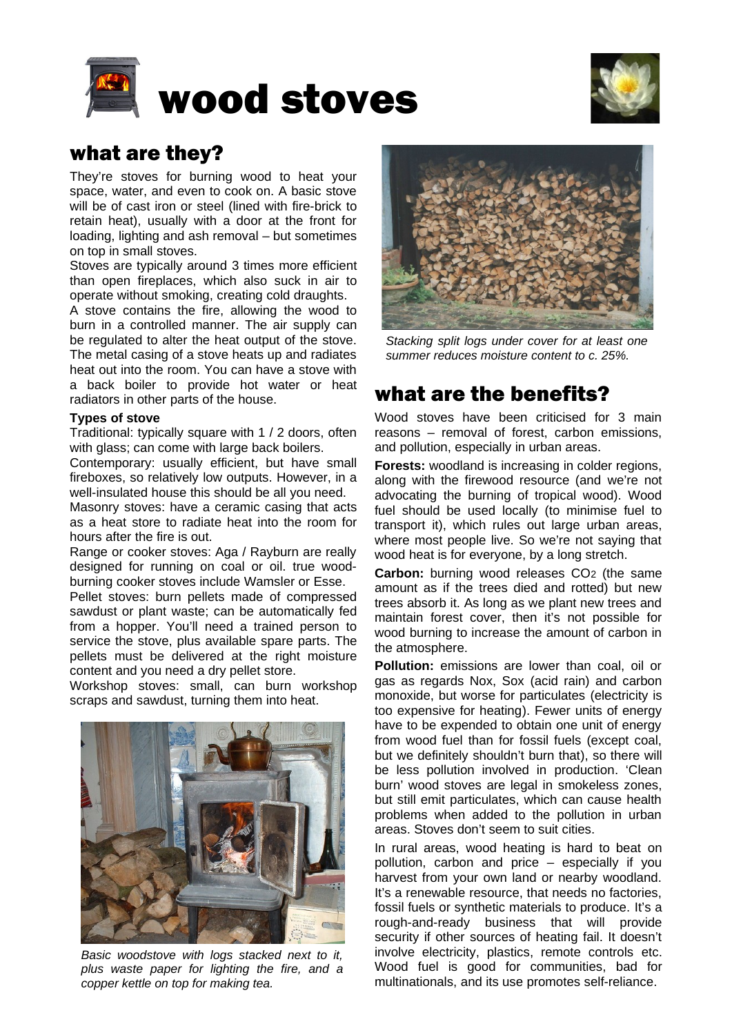



# what are they?

They're stoves for burning wood to heat your space, water, and even to cook on. A basic stove will be of cast iron or steel (lined with fire-brick to retain heat), usually with a door at the front for loading, lighting and ash removal – but sometimes on top in small stoves.

Stoves are typically around 3 times more efficient than open fireplaces, which also suck in air to operate without smoking, creating cold draughts.

A stove contains the fire, allowing the wood to burn in a controlled manner. The air supply can be regulated to alter the heat output of the stove. The metal casing of a stove heats up and radiates heat out into the room. You can have a stove with a back boiler to provide hot water or heat radiators in other parts of the house.

### **Types of stove**

Traditional: typically square with 1 / 2 doors, often with glass; can come with large back boilers.

Contemporary: usually efficient, but have small fireboxes, so relatively low outputs. However, in a well-insulated house this should be all you need.

Masonry stoves: have a ceramic casing that acts as a heat store to radiate heat into the room for hours after the fire is out.

Range or cooker stoves: Aga / Rayburn are really designed for running on coal or oil. true woodburning cooker stoves include Wamsler or Esse.

Pellet stoves: burn pellets made of compressed sawdust or plant waste; can be automatically fed from a hopper. You'll need a trained person to service the stove, plus available spare parts. The pellets must be delivered at the right moisture content and you need a dry pellet store.

Workshop stoves: small, can burn workshop scraps and sawdust, turning them into heat.



*Basic woodstove with logs stacked next to it, plus waste paper for lighting the fire, and a copper kettle on top for making tea.*



*Stacking split logs under cover for at least one summer reduces moisture content to c. 25%.*

# what are the benefits?

Wood stoves have been criticised for 3 main reasons – removal of forest, carbon emissions, and pollution, especially in urban areas.

**Forests:** woodland is increasing in colder regions, along with the firewood resource (and we're not advocating the burning of tropical wood). Wood fuel should be used locally (to minimise fuel to transport it), which rules out large urban areas, where most people live. So we're not saying that wood heat is for everyone, by a long stretch.

**Carbon:** burning wood releases CO<sub>2</sub> (the same amount as if the trees died and rotted) but new trees absorb it. As long as we plant new trees and maintain forest cover, then it's not possible for wood burning to increase the amount of carbon in the atmosphere.

**Pollution:** emissions are lower than coal, oil or gas as regards Nox, Sox (acid rain) and carbon monoxide, but worse for particulates (electricity is too expensive for heating). Fewer units of energy have to be expended to obtain one unit of energy from wood fuel than for fossil fuels (except coal, but we definitely shouldn't burn that), so there will be less pollution involved in production. 'Clean burn' wood stoves are legal in smokeless zones, but still emit particulates, which can cause health problems when added to the pollution in urban areas. Stoves don't seem to suit cities.

In rural areas, wood heating is hard to beat on pollution, carbon and price – especially if you harvest from your own land or nearby woodland. It's a renewable resource, that needs no factories, fossil fuels or synthetic materials to produce. It's a rough-and-ready business that will provide security if other sources of heating fail. It doesn't involve electricity, plastics, remote controls etc. Wood fuel is good for communities, bad for multinationals, and its use promotes self-reliance.